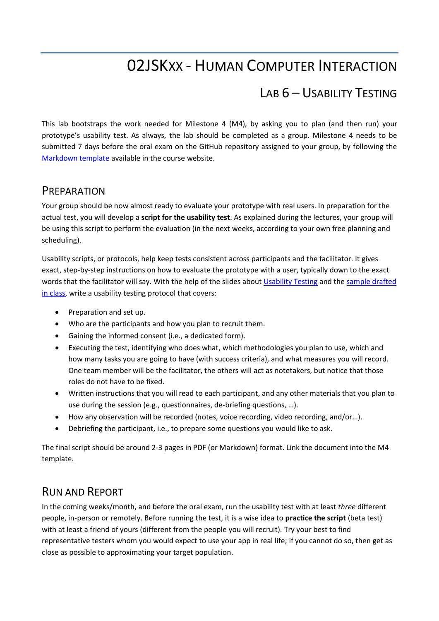## 02JSKXX - HUMAN COMPUTER INTERACTION

## LAB 6 – USABILITY TESTING

This lab bootstraps the work needed for Milestone 4 (M4), by asking you to plan (and then run) your prototype's usability test. As always, the lab should be completed as a group. Milestone 4 needs to be submitted 7 days before the oral exam on the GitHub repository assigned to your group, by following the [Markdown template](https://elite.polito.it/files/courses/02JSKOV/2021/milestones/milestone4.md) available in the course website.

## **PREPARATION**

Your group should be now almost ready to evaluate your prototype with real users. In preparation for the actual test, you will develop a **script for the usability test**. As explained during the lectures, your group will be using this script to perform the evaluation (in the next weeks, according to your own free planning and scheduling).

Usability scripts, or protocols, help keep tests consistent across participants and the facilitator. It gives exact, step-by-step instructions on how to evaluate the prototype with a user, typically down to the exact words that the facilitator will say. With the help of the slides abou[t Usability Testing](https://elite.polito.it/files/courses/02JSKOV/2021/slide/12-usability-testing.pdf) and the [sample drafted](https://docs.google.com/document/d/1GHebswGhxBgEzcFFgF5_uG5G_-LSBHaw24WSmDVm8r4)  [in class,](https://docs.google.com/document/d/1GHebswGhxBgEzcFFgF5_uG5G_-LSBHaw24WSmDVm8r4) write a usability testing protocol that covers:

- Preparation and set up.
- Who are the participants and how you plan to recruit them.
- Gaining the informed consent (i.e., a dedicated form).
- Executing the test, identifying who does what, which methodologies you plan to use, which and how many tasks you are going to have (with success criteria), and what measures you will record. One team member will be the facilitator, the others will act as notetakers, but notice that those roles do not have to be fixed.
- Written instructions that you will read to each participant, and any other materials that you plan to use during the session (e.g., questionnaires, de-briefing questions, …).
- How any observation will be recorded (notes, voice recording, video recording, and/or…).
- Debriefing the participant, i.e., to prepare some questions you would like to ask.

The final script should be around 2-3 pages in PDF (or Markdown) format. Link the document into the M4 template.

## RUN AND REPORT

In the coming weeks/month, and before the oral exam, run the usability test with at least *three* different people, in-person or remotely. Before running the test, it is a wise idea to **practice the script** (beta test) with at least a friend of yours (different from the people you will recruit). Try your best to find representative testers whom you would expect to use your app in real life; if you cannot do so, then get as close as possible to approximating your target population.